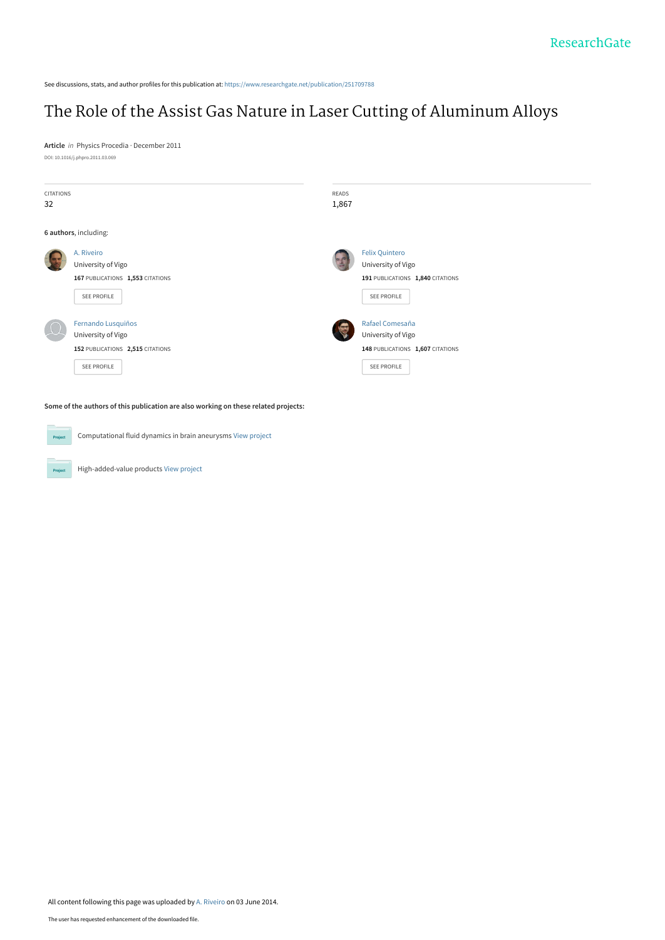See discussions, stats, and author profiles for this publication at: [https://www.researchgate.net/publication/251709788](https://www.researchgate.net/publication/251709788_The_Role_of_the_Assist_Gas_Nature_in_Laser_Cutting_of_Aluminum_Alloys?enrichId=rgreq-547b18308c64f381ee4199b6b85fa116-XXX&enrichSource=Y292ZXJQYWdlOzI1MTcwOTc4ODtBUzoxMDM4NzgzNTE2NTQ5MjJAMTQwMTc3NzkzNzYyNA%3D%3D&el=1_x_2&_esc=publicationCoverPdf)

# [The Role of the Assist Gas Nature in Laser Cutting of Aluminum Alloys](https://www.researchgate.net/publication/251709788_The_Role_of_the_Assist_Gas_Nature_in_Laser_Cutting_of_Aluminum_Alloys?enrichId=rgreq-547b18308c64f381ee4199b6b85fa116-XXX&enrichSource=Y292ZXJQYWdlOzI1MTcwOTc4ODtBUzoxMDM4NzgzNTE2NTQ5MjJAMTQwMTc3NzkzNzYyNA%3D%3D&el=1_x_3&_esc=publicationCoverPdf)

**Article** in Physics Procedia · December 2011 DOI: 10.1016/j.phpro.2011.03.069

| <b>CITATIONS</b><br>32 |                                                                                                    | READS<br>1,867 |                                                                                                |
|------------------------|----------------------------------------------------------------------------------------------------|----------------|------------------------------------------------------------------------------------------------|
|                        | 6 authors, including:                                                                              |                |                                                                                                |
|                        | A. Riveiro<br>University of Vigo<br>167 PUBLICATIONS 1,553 CITATIONS<br>SEE PROFILE                |                | <b>Felix Quintero</b><br>University of Vigo<br>191 PUBLICATIONS 1,840 CITATIONS<br>SEE PROFILE |
|                        | Fernando Lusquiños<br>University of Vigo<br>152 PUBLICATIONS 2,515 CITATIONS<br><b>SEE PROFILE</b> |                | Rafael Comesaña<br>University of Vigo<br>148 PUBLICATIONS 1,607 CITATIONS<br>SEE PROFILE       |

**Some of the authors of this publication are also working on these related projects:**

Computational fluid dynamics in brain aneurysms [View project](https://www.researchgate.net/project/Computational-fluid-dynamics-in-brain-aneurysms?enrichId=rgreq-547b18308c64f381ee4199b6b85fa116-XXX&enrichSource=Y292ZXJQYWdlOzI1MTcwOTc4ODtBUzoxMDM4NzgzNTE2NTQ5MjJAMTQwMTc3NzkzNzYyNA%3D%3D&el=1_x_9&_esc=publicationCoverPdf) **Project** High-added-value products [View project](https://www.researchgate.net/project/High-added-value-products?enrichId=rgreq-547b18308c64f381ee4199b6b85fa116-XXX&enrichSource=Y292ZXJQYWdlOzI1MTcwOTc4ODtBUzoxMDM4NzgzNTE2NTQ5MjJAMTQwMTc3NzkzNzYyNA%3D%3D&el=1_x_9&_esc=publicationCoverPdf) Project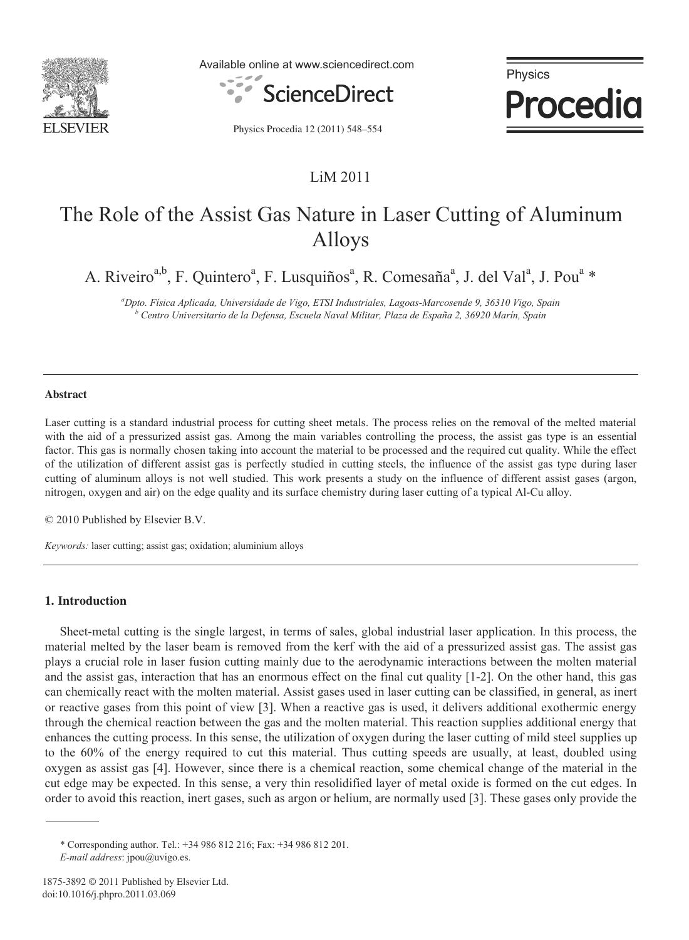

Available online at www.sciencedirect.com



Physics **Procedia** 

Physics Procedia 12 (2011) 548–554

### LiM 2011

# The Role of the Assist Gas Nature in Laser Cutting of Aluminum Alloys

A. Riveiro<sup>a,b</sup>, F. Quintero<sup>a</sup>, F. Lusquiños<sup>a</sup>, R. Comesaña<sup>a</sup>, J. del Val<sup>a</sup>, J. Pou<sup>a</sup> \*

*a Dpto. Física Aplicada, Universidade de Vigo, ETSI Industriales, Lagoas-Marcosende 9, 36310 Vigo, Spain b Centro Universitario de la Defensa, Escuela Naval Militar, Plaza de España 2, 36920 Marín, Spain* 

#### **Abstract**

Laser cutting is a standard industrial process for cutting sheet metals. The process relies on the removal of the melted material with the aid of a pressurized assist gas. Among the main variables controlling the process, the assist gas type is an essential factor. This gas is normally chosen taking into account the material to be processed and the required cut quality. While the effect of the utilization of different assist gas is perfectly studied in cutting steels, the influence of the assist gas type during laser cutting of aluminum alloys is not well studied. This work presents a study on the influence of different assist gases (argon, nitrogen, oxygen and air) on the edge quality and its surface chemistry during laser cutting of a typical Al-Cu alloy.

© 2010 Published by Elsevier B.V.

*Keywords:* laser cutting; assist gas; oxidation; aluminium alloys

#### **1. Introduction**

Sheet-metal cutting is the single largest, in terms of sales, global industrial laser application. In this process, the material melted by the laser beam is removed from the kerf with the aid of a pressurized assist gas. The assist gas plays a crucial role in laser fusion cutting mainly due to the aerodynamic interactions between the molten material and the assist gas, interaction that has an enormous effect on the final cut quality [1-2]. On the other hand, this gas can chemically react with the molten material. Assist gases used in laser cutting can be classified, in general, as inert or reactive gases from this point of view [3]. When a reactive gas is used, it delivers additional exothermic energy through the chemical reaction between the gas and the molten material. This reaction supplies additional energy that enhances the cutting process. In this sense, the utilization of oxygen during the laser cutting of mild steel supplies up to the 60% of the energy required to cut this material. Thus cutting speeds are usually, at least, doubled using oxygen as assist gas [4]. However, since there is a chemical reaction, some chemical change of the material in the cut edge may be expected. In this sense, a very thin resolidified layer of metal oxide is formed on the cut edges. In order to avoid this reaction, inert gases, such as argon or helium, are normally used [3]. These gases only provide the

<sup>\*</sup> Corresponding author. Tel.: +34 986 812 216; Fax: +34 986 812 201. *E-mail address*: jpou@uvigo.es.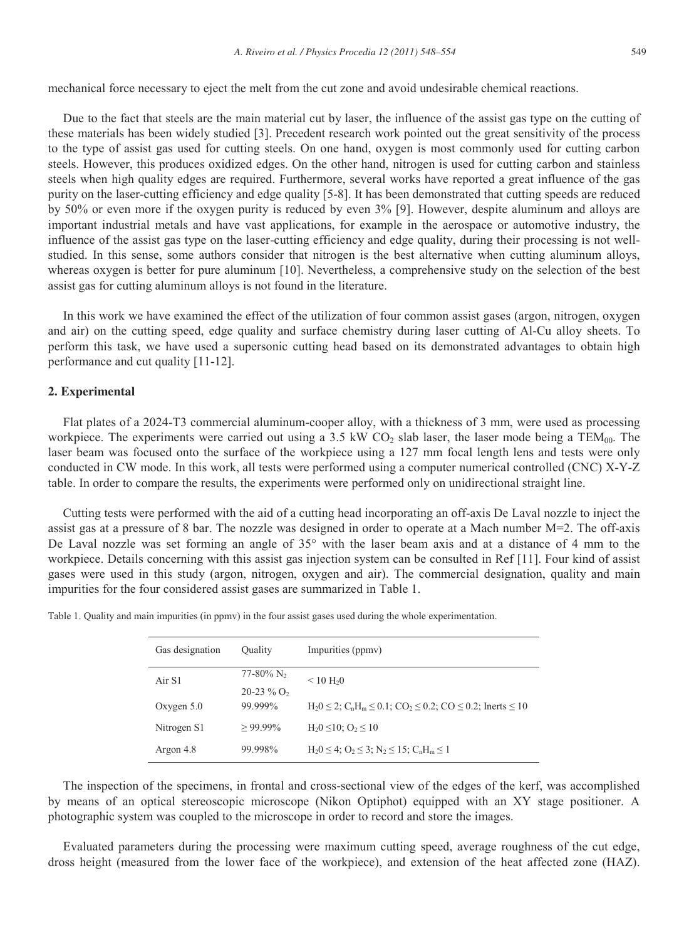mechanical force necessary to eject the melt from the cut zone and avoid undesirable chemical reactions.

Due to the fact that steels are the main material cut by laser, the influence of the assist gas type on the cutting of these materials has been widely studied [3]. Precedent research work pointed out the great sensitivity of the process to the type of assist gas used for cutting steels. On one hand, oxygen is most commonly used for cutting carbon steels. However, this produces oxidized edges. On the other hand, nitrogen is used for cutting carbon and stainless steels when high quality edges are required. Furthermore, several works have reported a great influence of the gas purity on the laser-cutting efficiency and edge quality [5-8]. It has been demonstrated that cutting speeds are reduced by 50% or even more if the oxygen purity is reduced by even 3% [9]. However, despite aluminum and alloys are important industrial metals and have vast applications, for example in the aerospace or automotive industry, the influence of the assist gas type on the laser-cutting efficiency and edge quality, during their processing is not wellstudied. In this sense, some authors consider that nitrogen is the best alternative when cutting aluminum alloys, whereas oxygen is better for pure aluminum [10]. Nevertheless, a comprehensive study on the selection of the best assist gas for cutting aluminum alloys is not found in the literature.

In this work we have examined the effect of the utilization of four common assist gases (argon, nitrogen, oxygen and air) on the cutting speed, edge quality and surface chemistry during laser cutting of Al-Cu alloy sheets. To perform this task, we have used a supersonic cutting head based on its demonstrated advantages to obtain high performance and cut quality [11-12].

### **2. Experimental**

Flat plates of a 2024-T3 commercial aluminum-cooper alloy, with a thickness of 3 mm, were used as processing workpiece. The experiments were carried out using a 3.5 kW CO<sub>2</sub> slab laser, the laser mode being a TEM<sub>00</sub>. The laser beam was focused onto the surface of the workpiece using a 127 mm focal length lens and tests were only conducted in CW mode. In this work, all tests were performed using a computer numerical controlled (CNC) X-Y-Z table. In order to compare the results, the experiments were performed only on unidirectional straight line.

Cutting tests were performed with the aid of a cutting head incorporating an off-axis De Laval nozzle to inject the assist gas at a pressure of 8 bar. The nozzle was designed in order to operate at a Mach number M=2. The off-axis De Laval nozzle was set forming an angle of 35° with the laser beam axis and at a distance of 4 mm to the workpiece. Details concerning with this assist gas injection system can be consulted in Ref [11]. Four kind of assist gases were used in this study (argon, nitrogen, oxygen and air). The commercial designation, quality and main impurities for the four considered assist gases are summarized in Table 1.

Table 1. Quality and main impurities (in ppmv) in the four assist gases used during the whole experimentation.

| Gas designation | Ouality                  | Impurities (ppmy)                                                                                                   |  |
|-----------------|--------------------------|---------------------------------------------------------------------------------------------------------------------|--|
| Air S1          | $77-80\%$ N <sub>2</sub> | $< 10 \text{ H}20$                                                                                                  |  |
|                 | $20-23\%$ O <sub>2</sub> |                                                                                                                     |  |
| Oxygen $5.0$    | 99.999%                  | $H_20 \le 2$ ; C <sub>n</sub> H <sub>m</sub> $\le 0.1$ ; CO <sub>2</sub> $\le 0.2$ ; CO $\le 0.2$ ; Inerts $\le 10$ |  |
| Nitrogen S1     | $>99.99\%$               | $H_2 0 \le 10$ ; $O_2 \le 10$                                                                                       |  |
| Argon 4.8       | 99.998%                  | $H_20 \leq 4$ ; $O_2 \leq 3$ ; $N_2 \leq 15$ ; $C_nH_m \leq 1$                                                      |  |

The inspection of the specimens, in frontal and cross-sectional view of the edges of the kerf, was accomplished by means of an optical stereoscopic microscope (Nikon Optiphot) equipped with an XY stage positioner. A photographic system was coupled to the microscope in order to record and store the images.

Evaluated parameters during the processing were maximum cutting speed, average roughness of the cut edge, dross height (measured from the lower face of the workpiece), and extension of the heat affected zone (HAZ).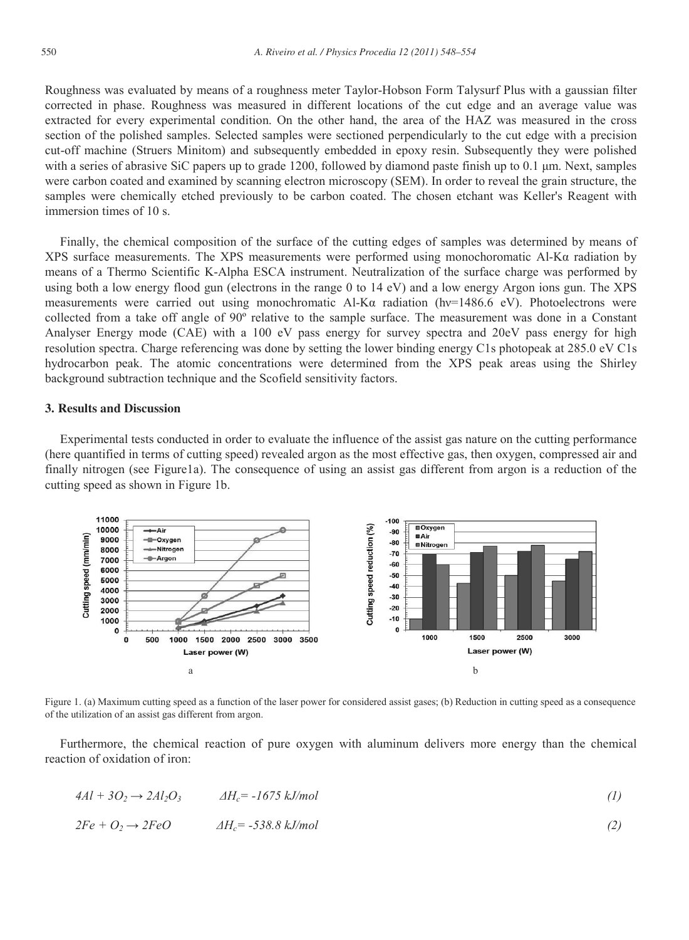Roughness was evaluated by means of a roughness meter Taylor-Hobson Form Talysurf Plus with a gaussian filter corrected in phase. Roughness was measured in different locations of the cut edge and an average value was extracted for every experimental condition. On the other hand, the area of the HAZ was measured in the cross section of the polished samples. Selected samples were sectioned perpendicularly to the cut edge with a precision cut-off machine (Struers Minitom) and subsequently embedded in epoxy resin. Subsequently they were polished with a series of abrasive SiC papers up to grade 1200, followed by diamond paste finish up to 0.1 µm. Next, samples were carbon coated and examined by scanning electron microscopy (SEM). In order to reveal the grain structure, the samples were chemically etched previously to be carbon coated. The chosen etchant was Keller's Reagent with immersion times of 10 s.

Finally, the chemical composition of the surface of the cutting edges of samples was determined by means of XPS surface measurements. The XPS measurements were performed using monochoromatic Al-Kα radiation by means of a Thermo Scientific K-Alpha ESCA instrument. Neutralization of the surface charge was performed by using both a low energy flood gun (electrons in the range 0 to 14 eV) and a low energy Argon ions gun. The XPS measurements were carried out using monochromatic Al-Kα radiation (hν=1486.6 eV). Photoelectrons were collected from a take off angle of 90º relative to the sample surface. The measurement was done in a Constant Analyser Energy mode (CAE) with a 100 eV pass energy for survey spectra and 20eV pass energy for high resolution spectra. Charge referencing was done by setting the lower binding energy C1s photopeak at 285.0 eV C1s hydrocarbon peak. The atomic concentrations were determined from the XPS peak areas using the Shirley background subtraction technique and the Scofield sensitivity factors.

#### **3. Results and Discussion**

Experimental tests conducted in order to evaluate the influence of the assist gas nature on the cutting performance (here quantified in terms of cutting speed) revealed argon as the most effective gas, then oxygen, compressed air and finally nitrogen (see Figure1a). The consequence of using an assist gas different from argon is a reduction of the cutting speed as shown in Figure 1b.



Figure 1. (a) Maximum cutting speed as a function of the laser power for considered assist gases; (b) Reduction in cutting speed as a consequence of the utilization of an assist gas different from argon.

Furthermore, the chemical reaction of pure oxygen with aluminum delivers more energy than the chemical reaction of oxidation of iron:

$$
4Al + 3O_2 \rightarrow 2Al_2O_3 \qquad \qquad \Delta H_c = -1675 \, kJ/mol \tag{1}
$$

$$
2Fe + O_2 \rightarrow 2FeO \qquad \qquad \Delta H_c = -538.8 \, kJ/mol \tag{2}
$$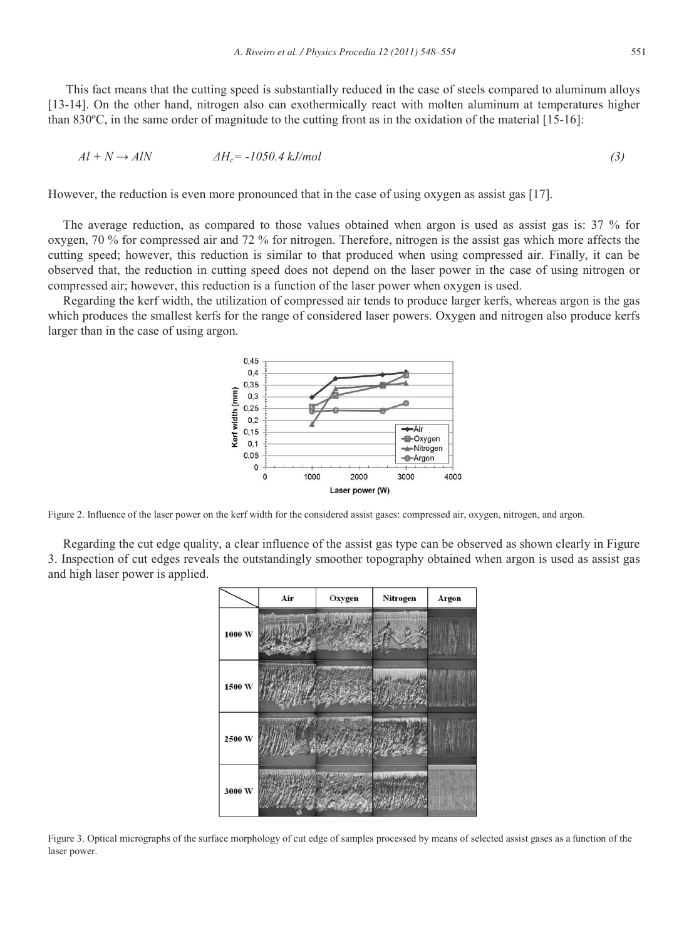This fact means that the cutting speed is substantially reduced in the case of steels compared to aluminum alloys [13-14]. On the other hand, nitrogen also can exothermically react with molten aluminum at temperatures higher than 830ºC, in the same order of magnitude to the cutting front as in the oxidation of the material [15-16]:

$$
Al + N \rightarrow AlN \qquad \qquad \Delta H_c = -1050.4 \, kJ/mol \tag{3}
$$

However, the reduction is even more pronounced that in the case of using oxygen as assist gas [17].

The average reduction, as compared to those values obtained when argon is used as assist gas is: 37 % for oxygen, 70 % for compressed air and 72 % for nitrogen. Therefore, nitrogen is the assist gas which more affects the cutting speed; however, this reduction is similar to that produced when using compressed air. Finally, it can be observed that, the reduction in cutting speed does not depend on the laser power in the case of using nitrogen or compressed air; however, this reduction is a function of the laser power when oxygen is used.

Regarding the kerf width, the utilization of compressed air tends to produce larger kerfs, whereas argon is the gas which produces the smallest kerfs for the range of considered laser powers. Oxygen and nitrogen also produce kerfs larger than in the case of using argon.



Figure 2. Influence of the laser power on the kerf width for the considered assist gases: compressed air, oxygen, nitrogen, and argon.

Regarding the cut edge quality, a clear influence of the assist gas type can be observed as shown clearly in Figure 3. Inspection of cut edges reveals the outstandingly smoother topography obtained when argon is used as assist gas and high laser power is applied.



Figure 3. Optical micrographs of the surface morphology of cut edge of samples processed by means of selected assist gases as a function of the laser power.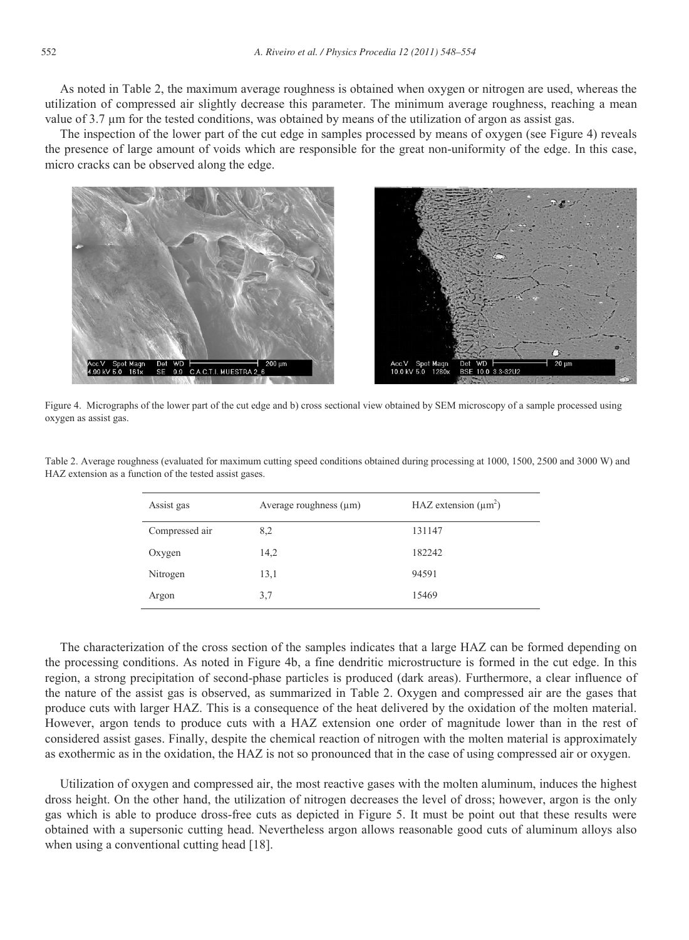As noted in Table 2, the maximum average roughness is obtained when oxygen or nitrogen are used, whereas the utilization of compressed air slightly decrease this parameter. The minimum average roughness, reaching a mean value of 3.7 µm for the tested conditions, was obtained by means of the utilization of argon as assist gas.

The inspection of the lower part of the cut edge in samples processed by means of oxygen (see Figure 4) reveals the presence of large amount of voids which are responsible for the great non-uniformity of the edge. In this case, micro cracks can be observed along the edge.



Figure 4. Micrographs of the lower part of the cut edge and b) cross sectional view obtained by SEM microscopy of a sample processed using oxygen as assist gas.

| Assist gas     | Average roughness $(\mu m)$ | HAZ extension $(\mu m^2)$ |
|----------------|-----------------------------|---------------------------|
| Compressed air | 8,2                         | 131147                    |
| Oxygen         | 14,2                        | 182242                    |
| Nitrogen       | 13,1                        | 94591                     |
| Argon          | 3.7                         | 15469                     |

Table 2. Average roughness (evaluated for maximum cutting speed conditions obtained during processing at 1000, 1500, 2500 and 3000 W) and HAZ extension as a function of the tested assist gases.

The characterization of the cross section of the samples indicates that a large HAZ can be formed depending on the processing conditions. As noted in Figure 4b, a fine dendritic microstructure is formed in the cut edge. In this region, a strong precipitation of second-phase particles is produced (dark areas). Furthermore, a clear influence of the nature of the assist gas is observed, as summarized in Table 2. Oxygen and compressed air are the gases that produce cuts with larger HAZ. This is a consequence of the heat delivered by the oxidation of the molten material. However, argon tends to produce cuts with a HAZ extension one order of magnitude lower than in the rest of considered assist gases. Finally, despite the chemical reaction of nitrogen with the molten material is approximately as exothermic as in the oxidation, the HAZ is not so pronounced that in the case of using compressed air or oxygen.

Utilization of oxygen and compressed air, the most reactive gases with the molten aluminum, induces the highest dross height. On the other hand, the utilization of nitrogen decreases the level of dross; however, argon is the only gas which is able to produce dross-free cuts as depicted in Figure 5. It must be point out that these results were obtained with a supersonic cutting head. Nevertheless argon allows reasonable good cuts of aluminum alloys also when using a conventional cutting head [18].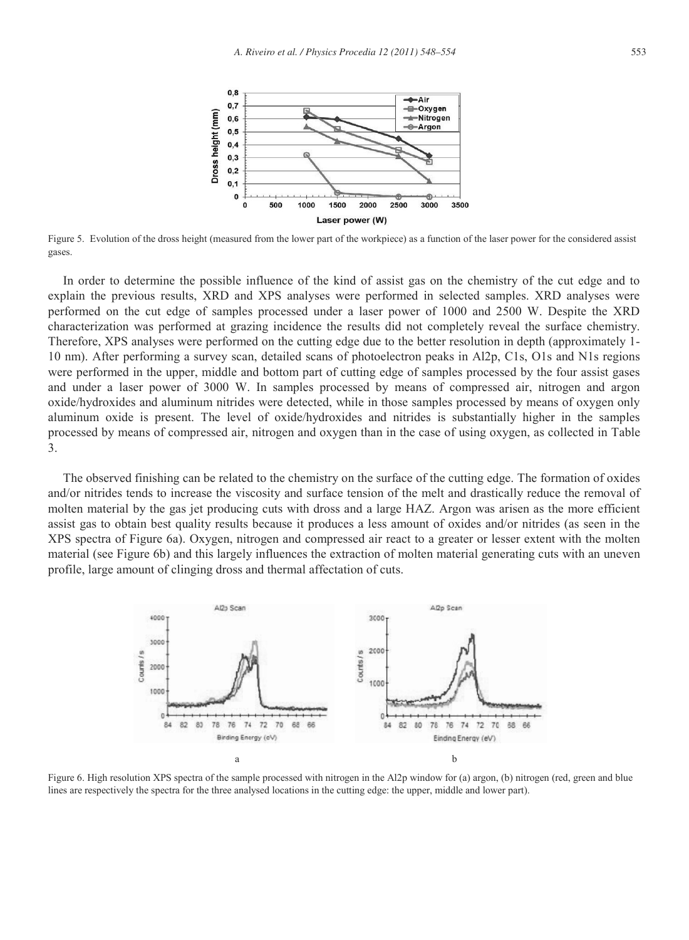

Figure 5. Evolution of the dross height (measured from the lower part of the workpiece) as a function of the laser power for the considered assist gases.

In order to determine the possible influence of the kind of assist gas on the chemistry of the cut edge and to explain the previous results, XRD and XPS analyses were performed in selected samples. XRD analyses were performed on the cut edge of samples processed under a laser power of 1000 and 2500 W. Despite the XRD characterization was performed at grazing incidence the results did not completely reveal the surface chemistry. Therefore, XPS analyses were performed on the cutting edge due to the better resolution in depth (approximately 1- 10 nm). After performing a survey scan, detailed scans of photoelectron peaks in Al2p, C1s, O1s and N1s regions were performed in the upper, middle and bottom part of cutting edge of samples processed by the four assist gases and under a laser power of 3000 W. In samples processed by means of compressed air, nitrogen and argon oxide/hydroxides and aluminum nitrides were detected, while in those samples processed by means of oxygen only aluminum oxide is present. The level of oxide/hydroxides and nitrides is substantially higher in the samples processed by means of compressed air, nitrogen and oxygen than in the case of using oxygen, as collected in Table 3.

The observed finishing can be related to the chemistry on the surface of the cutting edge. The formation of oxides and/or nitrides tends to increase the viscosity and surface tension of the melt and drastically reduce the removal of molten material by the gas jet producing cuts with dross and a large HAZ. Argon was arisen as the more efficient assist gas to obtain best quality results because it produces a less amount of oxides and/or nitrides (as seen in the XPS spectra of Figure 6a). Oxygen, nitrogen and compressed air react to a greater or lesser extent with the molten material (see Figure 6b) and this largely influences the extraction of molten material generating cuts with an uneven profile, large amount of clinging dross and thermal affectation of cuts.



Figure 6. High resolution XPS spectra of the sample processed with nitrogen in the Al2p window for (a) argon, (b) nitrogen (red, green and blue lines are respectively the spectra for the three analysed locations in the cutting edge: the upper, middle and lower part).